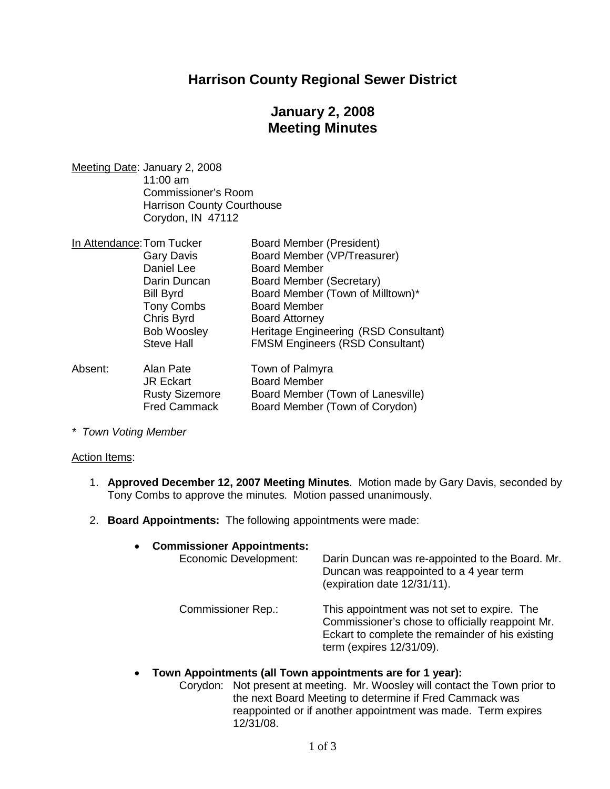## **Harrison County Regional Sewer District**

# **January 2, 2008 Meeting Minutes**

Meeting Date: January 2, 2008 11:00 am Commissioner's Room Harrison County Courthouse Corydon, IN 47112

| In Attendance: Tom Tucker |                       | <b>Board Member (President)</b>        |  |
|---------------------------|-----------------------|----------------------------------------|--|
|                           | <b>Gary Davis</b>     | Board Member (VP/Treasurer)            |  |
|                           | Daniel Lee            | <b>Board Member</b>                    |  |
|                           | Darin Duncan          | <b>Board Member (Secretary)</b>        |  |
|                           | <b>Bill Byrd</b>      | Board Member (Town of Milltown)*       |  |
|                           | <b>Tony Combs</b>     | <b>Board Member</b>                    |  |
|                           | Chris Byrd            | <b>Board Attorney</b>                  |  |
|                           | <b>Bob Woosley</b>    | Heritage Engineering (RSD Consultant)  |  |
|                           | <b>Steve Hall</b>     | <b>FMSM Engineers (RSD Consultant)</b> |  |
| Absent:                   | Alan Pate             | Town of Palmyra                        |  |
|                           | <b>JR Eckart</b>      | <b>Board Member</b>                    |  |
|                           | <b>Rusty Sizemore</b> | Board Member (Town of Lanesville)      |  |

Fred Cammack Board Member (Town of Corydon)

*\* Town Voting Member*

#### Action Items:

- 1. **Approved December 12, 2007 Meeting Minutes**. Motion made by Gary Davis, seconded by Tony Combs to approve the minutes. Motion passed unanimously.
- 2. **Board Appointments:** The following appointments were made:

| $\bullet$ | <b>Commissioner Appointments:</b><br>Economic Development: | Darin Duncan was re-appointed to the Board. Mr.<br>Duncan was reappointed to a 4 year term<br>(expiration date 12/31/11).                                                       |
|-----------|------------------------------------------------------------|---------------------------------------------------------------------------------------------------------------------------------------------------------------------------------|
|           | <b>Commissioner Rep.:</b>                                  | This appointment was not set to expire. The<br>Commissioner's chose to officially reappoint Mr.<br>Eckart to complete the remainder of his existing<br>term (expires 12/31/09). |

#### **Town Appointments (all Town appointments are for 1 year):**

Corydon: Not present at meeting. Mr. Woosley will contact the Town prior to the next Board Meeting to determine if Fred Cammack was reappointed or if another appointment was made. Term expires 12/31/08.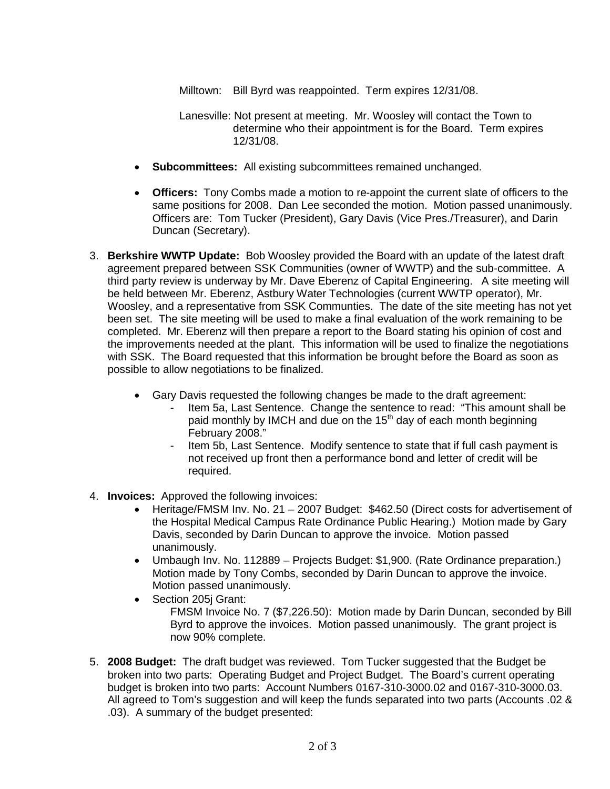Milltown: Bill Byrd was reappointed. Term expires 12/31/08.

- Lanesville: Not present at meeting. Mr. Woosley will contact the Town to determine who their appointment is for the Board. Term expires 12/31/08.
- **Subcommittees:** All existing subcommittees remained unchanged.
- **Officers:** Tony Combs made a motion to re-appoint the current slate of officers to the same positions for 2008. Dan Lee seconded the motion. Motion passed unanimously. Officers are: Tom Tucker (President), Gary Davis (Vice Pres./Treasurer), and Darin Duncan (Secretary).
- 3. **Berkshire WWTP Update:** Bob Woosley provided the Board with an update of the latest draft agreement prepared between SSK Communities (owner of WWTP) and the sub-committee. A third party review is underway by Mr. Dave Eberenz of Capital Engineering. A site meeting will be held between Mr. Eberenz, Astbury Water Technologies (current WWTP operator), Mr. Woosley, and a representative from SSK Communties. The date of the site meeting has not yet been set. The site meeting will be used to make a final evaluation of the work remaining to be completed. Mr. Eberenz will then prepare a report to the Board stating his opinion of cost and the improvements needed at the plant. This information will be used to finalize the negotiations with SSK. The Board requested that this information be brought before the Board as soon as possible to allow negotiations to be finalized.
	- Gary Davis requested the following changes be made to the draft agreement:
		- Item 5a, Last Sentence. Change the sentence to read: "This amount shall be paid monthly by IMCH and due on the  $15<sup>th</sup>$  day of each month beginning February 2008."
		- Item 5b, Last Sentence. Modify sentence to state that if full cash payment is not received up front then a performance bond and letter of credit will be required.
- 4. **Invoices:** Approved the following invoices:
	- Heritage/FMSM Inv. No. 21 2007 Budget: \$462.50 (Direct costs for advertisement of the Hospital Medical Campus Rate Ordinance Public Hearing.) Motion made by Gary Davis, seconded by Darin Duncan to approve the invoice. Motion passed unanimously.
	- Umbaugh Inv. No. 112889 Projects Budget: \$1,900. (Rate Ordinance preparation.) Motion made by Tony Combs, seconded by Darin Duncan to approve the invoice. Motion passed unanimously.
	- Section 205i Grant: FMSM Invoice No. 7 (\$7,226.50): Motion made by Darin Duncan, seconded by Bill Byrd to approve the invoices. Motion passed unanimously. The grant project is now 90% complete.
- 5. **2008 Budget:** The draft budget was reviewed. Tom Tucker suggested that the Budget be broken into two parts: Operating Budget and Project Budget. The Board's current operating budget is broken into two parts: Account Numbers 0167-310-3000.02 and 0167-310-3000.03. All agreed to Tom's suggestion and will keep the funds separated into two parts (Accounts .02 & .03). A summary of the budget presented: